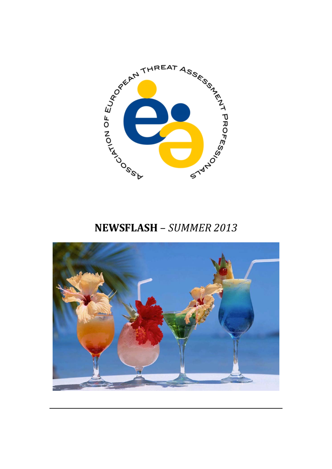

# **NEWSFLASH** – *SUMMER 2013*

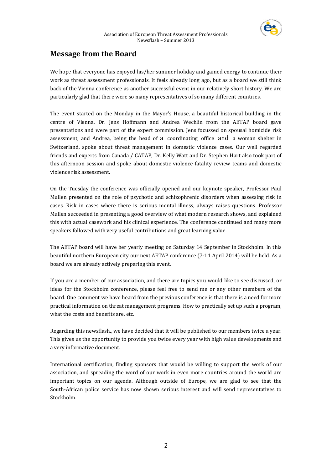

# **Message from the Board**

We hope that everyone has enjoyed his/her summer holiday and gained energy to continue their work as threat assessment professionals. It feels already long ago, but as a board we still think back of the Vienna conference as another successful event in our relatively short history. We are particularly glad that there were so many representatives of so many different countries.

The event started on the Monday in the Mayor's House, a beautiful historical building in the centre of Vienna. Dr. Jens Hoffmann and Andrea Wechlin from the AETAP board gave presentations and were part of the expert commission. Jens focussed on spousal homicide risk assessment, and Andrea, being the head of a coordinating office and a woman shelter in Switzerland, spoke about threat management in domestic violence cases. Our well regarded friends and experts from Canada / CATAP, Dr. Kelly Watt and Dr. Stephen Hart also took part of this afternoon session and spoke about domestic violence fatality review teams and domestic violence risk assessment.

On the Tuesday the conference was officially opened and our keynote speaker, Professor Paul Mullen presented on the role of psychotic and schizophrenic disorders when assessing risk in cases. Risk in cases where there is serious mental illness, always raises questions. Professor Mullen succeeded in presenting a good overview of what modern research shows, and explained this with actual casework and his clinical experience. The conference continued and many more speakers followed with very useful contributions and great learning value.

The AETAP board will have her yearly meeting on Saturday 14 September in Stockholm. In this beautiful northern European city our next AETAP conference (7‐11 April 2014) will be held. As a board we are already actively preparing this event.

If you are a member of our association, and there are topics you would like to see discussed, or ideas for the Stockholm conference, please feel free to send me or any other members of the board. One comment we have heard from the previous conference is that there is a need for more practical information on threat management programs. How to practically set up such a program, what the costs and benefits are, etc.

Regarding this newsflash., we have decided that it will be published to our members twice a year. This gives us the opportunity to provide you twice every year with high value developments and a very informative document.

International certification, finding sponsors that would be willing to support the work of our association, and spreading the word of our work in even more countries around the world are important topics on our agenda. Although outside of Europe, we are glad to see that the South-African police service has now shown serious interest and will send representatives to Stockholm.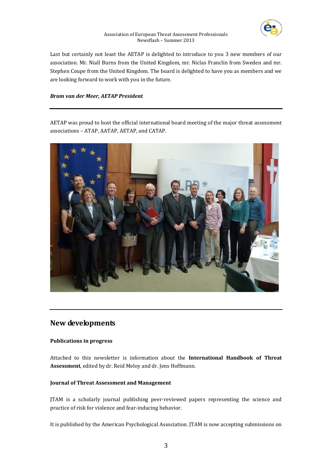

Last but certainly not least the AETAP is delighted to introduce to you 3 new members of our association. Mr. Niall Burns from the United Kingdom, mr. Niclas Franclin from Sweden and mr. Stephen Coupe from the United Kingdom. The board is delighted to have you as members and we are looking forward to work with you in the future.

# *Bram van der Meer, AETAP President*

AETAP was proud to host the official international board meeting of the major threat assessment associations – ATAP, AATAP, AETAP, and CATAP.



# **New developments**

# **Publications in progress**

Attached to this newsletter is information about the **International Handbook of Threat Assessment**, edited by dr. Reid Meloy and dr. Jens Hoffmann.

# **Journal of Threat Assessment and Management**

JTAM is a scholarly journal publishing peer‐reviewed papers representing the science and practice of risk for violence and fear-inducing behavior.

It is published by the American Psychological Association. JTAM is now accepting submissions on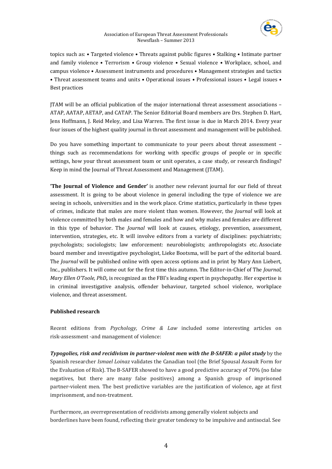

topics such as: • Targeted violence • Threats against public figures • Stalking • Intimate partner and family violence • Terrorism • Group violence • Sexual violence • Workplace, school, and campus violence • Assessment instruments and procedures • Management strategies and tactics • Threat assessment teams and units • Operational issues • Professional issues • Legal issues • Best practices

JTAM will be an official publication of the major international threat assessment associations – ATAP, AATAP, AETAP, and CATAP. The Senior Editorial Board members are Drs. Stephen D. Hart, Jens Hoffmann, J. Reid Meloy, and Lisa Warren. The first issue is due in March 2014. Every year four issues of the highest quality journal in threat assessment and management will be published.

Do you have something important to communicate to your peers about threat assessment – things such as recommendations for working with specific groups of people or in specific settings, how your threat assessment team or unit operates, a case study, or research findings? Keep in mind the Journal of Threat Assessment and Management (JTAM).

**'The Journal of Violence and Gender'** is another new relevant journal for our field of threat assessment. It is going to be about violence in general including the type of violence we are seeing in schools, universities and in the work place. Crime statistics, particularly in these types of crimes, indicate that males are more violent than women. However, the *Journal* will look at violence committed by both males and females and how and why males and females are different in this type of behavior. The *Journal* will look at causes, etiology, prevention, assessment, intervention, strategies, etc. It will involve editors from a variety of disciplines: psychiatrists; psychologists; sociologists; law enforcement: neurobiologists; anthropologists etc. Associate board member and investigative psychologist, Lieke Bootsma, will be part of the editorial board. The *Journal* will be published online with open access options and in print by Mary Ann Liebert, Inc., publishers. It will come out for the first time this autumn. The Editor‐in‐Chief of The *Journal*, *Mary Ellen O'Toole, PhD***,** is recognized as the FBI's leading expert in psychopathy. Her expertise is in criminal investigative analysis, offender behaviour, targeted school violence, workplace violence, and threat assessment.

# **Published research**

Recent editions from *Psychology, Crime & Law* included some interesting articles on risk‐assessment ‐and management of violence:

*Typogolies, risk and recidivism in partnerviolent men with the BSAFER: a pilot study* by the Spanish researcher *Ismael Loinaz* validates the Canadian tool (the Brief Spousal Assault Form for the Evaluation of Risk). The B‐SAFER showed to have a good predictive accuracy of 70% (no false negatives, but there are many false positives) among a Spanish group of imprisoned partner-violent men. The best predictive variables are the justification of violence, age at first imprisonment, and non-treatment.

Furthermore, an overrepresentation of recidivists among generally violent subjects and borderlines have been found, reflecting their greater tendency to be impulsive and antisocial. See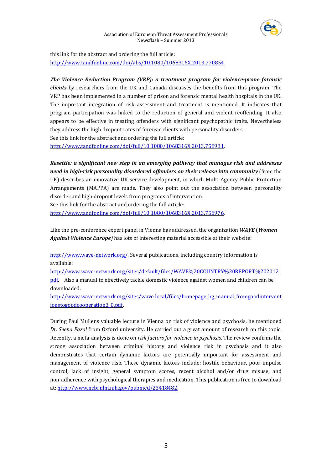

this link for the abstract and ordering the full article: http://www.tandfonline.com/doi/abs/10.1080/1068316X.2013.770854[.](http://www.tandfonline.com/doi/abs/10.1080/1068316X.2013.770854) 

*The Violence Reduction Program (VRP): a treatment program for violenceprone forensic clients* by researchers from the UK and Canada discusses the benefits from this program. The VRP has been implemented in a number of prison and forensic mental health hospitals in the UK. The important integration of risk assessment and treatment is mentioned. It indicates that program participation was linked to the reduction of general and violent reoffending. It also appears to be effective in treating offenders with significant psychopathic traits. Nevertheless they address the high dropout rates of forensic clients with personality disorders. See this link for the abstract and ordering the full article:

http://www.tandfonline.com/doi/full/10.1080/1068316X.2013.75898[1.](http://www.tandfonline.com/doi/full/10.1080/1068316X.2013.758981) 

*Resettle: a significant new step in an emerging pathway that manages risk and addresses need in highrisk personality disordered offenders on their release into community* (from the UK) describes an innovative UK service development, in which Multi-Agency Public Protection Arrangements (MAPPA) are made. They also point out the association between personality disorder and high dropout levels from programs of intervention.

See this link for the abstract and ordering the full article:

downloaded:

http://www.tandfonline.com/doi/full/10.1080/1068316X.2013.75897[6.](http://www.tandfonline.com/doi/full/10.1080/1068316X.2013.758976) 

Like the pre‐conference expert panel in Vienna has addressed, the organization *WAVE* **(***Women Against Violence Europe)* has lots of interesting material accessible at their website:

http://www.wave-network.org/. Several publications, including country information is available:

[http://www.wave‐network.org/sites/default/files/WAVE%20COUNTRY%20REPORT%202012.](http://www.wave-network.org/sites/default/files/WAVE%20COUNTRY%20REPORT%202012.pdf) pdf. Also a manual to effectively tackle domestic violence against women and children can be

http://www.wave-network.org/sites/wave.local/files/homepage\_bg\_manual\_fromgoodintervent ionstogoodcooperation3\_0.pdf.

[During Paul Mullens valuable lecture in Vienna on risk of violence and psychosis, he mentioned](http://www.ncbi.nlm.nih.gov/pubmed/23418482)  *Dr. [Seena](http://www.ncbi.nlm.nih.gov/pubmed/23418482) Fazal* from Oxford university. He carried out a great amount [of research on this topic.](http://www.ncbi.nlm.nih.gov/pubmed/23418482)  Recently, a meta‐analysis is done on *risk factors for violence in [psychosis](http://www.ncbi.nlm.nih.gov/pubmed/23418482)*. The review confirms the strong association between criminal history and violence risk in psychosis and it also demonstrates that certain dynamic factors are potentially important for assessment and [management of violence risk. These dynamic factors include: hostile behaviour, poor impulse](http://www.ncbi.nlm.nih.gov/pubmed/23418482)  control, lack of insight, general symptom scores, recent alcohol and/or drug misuse, and [non‐adherence with psychological therapies and medica](http://www.ncbi.nlm.nih.gov/pubmed/23418482)tion. This publication is free to download at: http://www.ncbi.nlm.nih.gov/pubmed/23418482.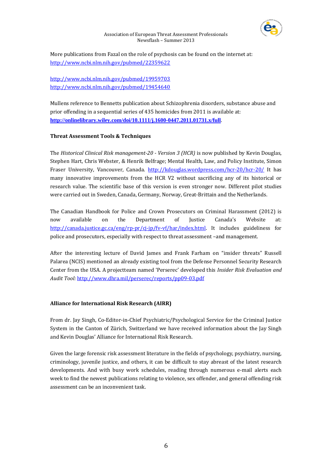

More publications from Fazal on the role of psychosis can be found on the internet at: http://www.ncbi.nlm.nih.gov/pubmed/22359622

# http://www.ncbi.nlm.nih.gov/pubmed/19959703 <http://www.ncbi.nlm.nih.gov/pubmed/19454640>

Mullens reference to Bennetts publication about Schizophrenia disorders, substance abuse and prior offending in a sequential series of 435 homicides from 2011 is available at: **<http://onlinelibrary.wiley.com/doi/10.1111/j.1600-0447.2011.01731.x/full>**.

# **Threat Assessment Tools & Techniques**

The *Historical Clinical Risk management20 Version 3 (HCR)* is now published by Kevin Douglas, Stephen Hart, Chris Webster, & Henrik [Belfrage; Mental Health, Law, and Policy Institute,](http://kdouglas.wordpress.com/hcr-20/hcr-20/) Simon Fraser University, Vancouver, Canada. http://kdouglas.wordpress.com/hcr‐20/hcr‐20/ It has many innovative improvements from the HCR V2 without sacrificing any of its historical or research value. The scientific base of this version is even stronger now. Different pilot studies were carried out in Sweden, Canada, Germany, Norway, Great-Brittain and the Netherlands.

The Canadian Handbook for Police and Crown Prosecutors on Criminal Harassment (2012) is now available on the Department of Justice Canada's Website at: http://canada.justice.gc.ca/eng/rp-pr/cj-jp/fv-vf/har/index.html. It includes guideliness for [police and prosecutors, especially with respect to threat assessme](http://canada.justice.gc.ca/eng/rp-pr/cj-jp/fv-vf/har/index.html)nt –and management.

After the interesting lecture of David James and Frank Farham on "insider threats" Russell Palarea (NCIS) mentioned an already existing tool from the Defense Personnel Security Research Center fro[m the USA. A projectteam named 'Perserec' developed](http://www.dhra.mil/perserec/reports/pp09-03.pdf) this *Insider Risk Evaluation and Audit Tool:* http://www.dhra.mil/perserec/reports/pp09‐03.pdf

# **Alliance for International Risk Research (AIRR)**

From dr. Jay Singh, Co-Editor-in-Chief Psychiatric/Psychological Service for the Criminal Justice System in the Canton of Zürich, Switzerland we have received information about the Jay Singh and Kevin Douglas' Alliance for International Risk Research.

Given the large forensic risk assessment literature in the fields of psychology, psychiatry, nursing, criminology, juvenile justice, and others, it can be difficult to stay abreast of the latest research developments. And with busy work schedules, reading through numerous e-mail alerts each week to find the newest publications relating to violence, sex offender, and general offending risk assessment can be an inconvenient task.